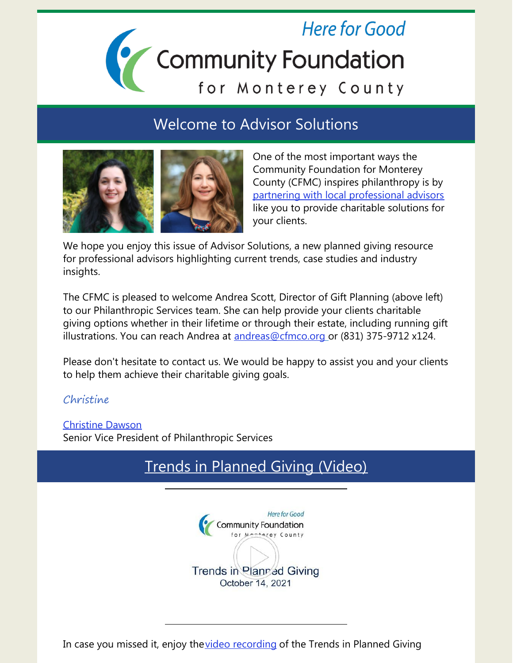# **Here for Good** Community Foundation<br>for Monterey County

#### Welcome to Advisor Solutions



One of the most important ways the Community Foundation for Monterey County (CFMC) inspires philanthropy is by partnering with local [professional](https://www.cfmco.org/advisors/advisor-solutions/) advisors like you to provide charitable solutions for your clients.

We hope you enjoy this issue of Advisor Solutions, a new planned giving resource for professional advisors highlighting current trends, case studies and industry insights.

The CFMC is pleased to welcome Andrea Scott, Director of Gift Planning (above left) to our Philanthropic Services team. She can help provide your clients charitable giving options whether in their lifetime or through their estate, including running gift illustrations. You can reach Andrea at [andreas@cfmco.org](mailto:andreas@cfmco.org) or (831) 375-9712 x124.

Please don't hesitate to contact us. We would be happy to assist you and your clients to help them achieve their charitable giving goals.

#### Christine

[Christine](mailto:christine@cfmco.org) Dawson Senior Vice President of Philanthropic Services

### Trends in [Planned](https://youtu.be/vTkyE_-cJ4s) Giving (Video)

Here for Good **Community Foundation** Trends in Planned Giving October 14, 2021

In case you missed it, enjoy the video [recording](https://youtu.be/vTkyE_-cJ4s) of the Trends in Planned Giving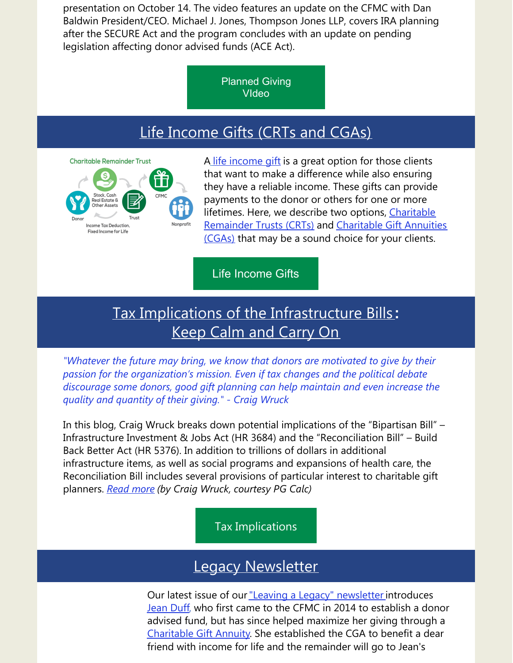presentation on October 14. The video features an update on the CFMC with Dan Baldwin President/CEO. Michael J. Jones, Thompson Jones LLP, covers IRA planning after the SECURE Act and the program concludes with an update on pending legislation affecting donor advised funds (ACE Act).

> [Planned](https://youtu.be/vTkyE_-cJ4s) Giving VIdeo

#### Life [Income](https://legacy.cfmco.org/resources/additional-information-advisors/helping-your-clients-get-paid-give) Gifts (CRTs and CGAs)



[A](https://legacy.cfmco.org/resources/additional-information-advisors/helping-your-clients-get-paid-give) life [income](https://legacy.cfmco.org/resources/additional-information-advisors/helping-your-clients-get-paid-give) gift is a great option for those clients that want to make a difference while also ensuring they have a reliable income. These gifts can provide payments to the donor or others for one or more lifetimes. Here, we describe two options, Charitable [Remainder](https://legacy.cfmco.org/plan-your-legacy/planned-giving-options/life-income-gifts/charitable-remainder-trust) Trusts (CRTs) and Charitable Gift Annuities (CGAs) that may be a sound choice for your clients.

#### Life [Income](https://legacy.cfmco.org/resources/additional-information-advisors/helping-your-clients-get-paid-give) Gifts

#### Tax Implications of the [Infrastructure](https://info.pgcalc.com/tax-implications-of-the-infrastructure-bills?utm_campaign=eRate 2021&utm_medium=email&_hsmi=172124034&_hsenc=p2ANqtz-9P39WwJ7a2iuzGXfzLPBPnq12W2pKaqazMnBe9ATvHbhdrFNuaHNax7g6yOpudX6hmb7m64DSKZpEDbhSR7oQC2dcDAw&utm_content=172124034&utm_source=hs_email) Bills **:** Keep Calm and [Carry](https://info.pgcalc.com/tax-implications-of-the-infrastructure-bills?utm_campaign=eRate 2021&utm_medium=email&_hsmi=172124034&_hsenc=p2ANqtz-9P39WwJ7a2iuzGXfzLPBPnq12W2pKaqazMnBe9ATvHbhdrFNuaHNax7g6yOpudX6hmb7m64DSKZpEDbhSR7oQC2dcDAw&utm_content=172124034&utm_source=hs_email) On

*"Whatever the future may bring, we know that donors are motivated to give by their passion for the organization's mission. Even if tax changes and the political debate discourage some donors, good gift planning can help maintain and even increase the quality and quantity of their giving." - Craig Wruck*

In this blog, Craig Wruck breaks down potential implications of the "Bipartisan Bill" – Infrastructure Investment & Jobs Act (HR 3684) and the "Reconciliation Bill" – Build Back Better Act (HR 5376). In addition to trillions of dollars in additional infrastructure items, as well as social programs and expansions of health care, the Reconciliation Bill includes several provisions of particular interest to charitable gift planners. *[Read](https://info.pgcalc.com/tax-implications-of-the-infrastructure-bills?utm_campaign=eRate 2021&utm_medium=email&_hsmi=172124034&_hsenc=p2ANqtz-9P39WwJ7a2iuzGXfzLPBPnq12W2pKaqazMnBe9ATvHbhdrFNuaHNax7g6yOpudX6hmb7m64DSKZpEDbhSR7oQC2dcDAw&utm_content=172124034&utm_source=hs_email) more (by Craig Wruck, courtesy PG Calc)*

Tax [Implications](https://info.pgcalc.com/tax-implications-of-the-infrastructure-bills?utm_campaign=eRate 2021&utm_medium=email&_hsmi=172124034&_hsenc=p2ANqtz-9P39WwJ7a2iuzGXfzLPBPnq12W2pKaqazMnBe9ATvHbhdrFNuaHNax7g6yOpudX6hmb7m64DSKZpEDbhSR7oQC2dcDAw&utm_content=172124034&utm_source=hs_email)

#### Legacy [Newsletter](https://www.cfmco.org/legacy-newsletter-2021/)

Our latest issue of our"Leaving a Legacy" [newsletter](https://www.cfmco.org/wp-content/uploads/2021/10/Legacy-news-Fall2021-FINAL.pdf) introduces [Jean](https://www.cfmco.org/jean-duff-growing-giving/) Duff, who first came to the CFMC in 2014 to establish a donor advised fund, but has since helped maximize her giving through a [Charitable](http://www.cfmco.org/cga) Gift Annuity. She established the CGA to benefit a dear friend with income for life and the remainder will go to Jean's